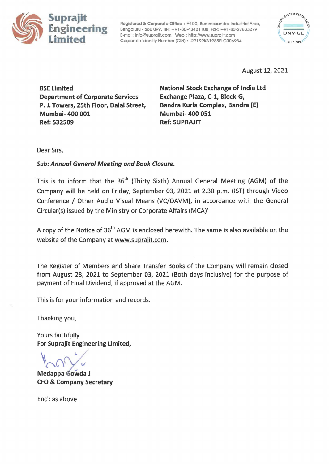

**Registered** & **Corporate Office** : #100, Bommasandra Industrial Area, Bengaluru - 560 099. Tel: +91-80-43421100, Fax: +91-80-27833279 E-mail: info@suprajit.com Web: http://www.suprajit.com Corporate Identity Number (CIN) : L29199KA l 985PLC006934



August 12, 2021

BSE Limited Department of Corporate Services P. J. Towers, 25th Floor, Dalal Street, Mumbai- 400 001 Ref: 532509

**National Stock Exchange of India Ltd Exchange Plaza, C-1, Block-G, Bandra Kurla Complex, Bandra (E) Mumbai- 400 051 Ref: SUPRAJIT** 

Dear Sirs,

## **Sub: Annual General Meeting and Book Closure.**

This is to inform that the 36<sup>th</sup> (Thirty Sixth) Annual General Meeting (AGM) of the Company will be held on Friday, September 03, 2021 at 2.30 p.m. (1ST) through Video Conference / Other Audio Visual Means (VC/OAVM), in accordance with the General Circular(s) issued by the Ministry or Corporate Affairs (MCA)'

A copy of the Notice of 36<sup>th</sup> AGM is enclosed herewith. The same is also available on the website of the Company at www.suprajit.com.

The Register of Members and Share Transfer Books of the Company will remain closed from August 28, 2021 to September 03, 2021 (Both days inclusive) for the purpose of payment of Final Dividend, if approved at the AGM.

This is for your information and records.

Thanking you,

Yours faithfully **For Suprajit Engineering Limited,** 

**Medappa Gowda J CFO** & **Company Secretary** 

Encl: as above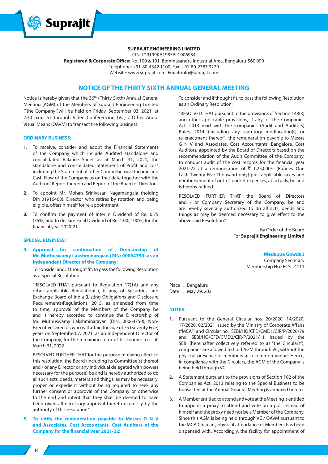

## **SUPRAJIT ENGINEERING LIMITED**

CIN: L29199KA1985PLC006934

**Registered & Corporate Office:** No. 100 & 101, Bommasandra Industrial Area, Bengaluru-560 099 Telephone: +91-80-4342 1100, Fax: +91-80-2783 3279 Website: www.suprajit.com, Email: info@suprajit.com

## **NOTICE OF THE THIRTY SIXTH ANNUAL GENERAL MEETING**

Notice is hereby given that the 36<sup>th</sup> (Thirty Sixth) Annual General Meeting (AGM) of the Members of Suprajit Engineering Limited ("the Company")will be held on Friday, September 03, 2021, at 2.30 p.m. IST through Video Conferencing (VC) / Other Audio Visual Means (OAVM) to transact the following business:

#### **ORDINARY BUSINESS:**

- **1.** To receive, consider and adopt the Financial Statements of the Company which include Audited standalone and consolidated Balance Sheet as at March 31, 2021, the standalone and consolidated Statement of Profit and Loss including the Statement of other Comprehensive Income and Cash Flow of the Company as on that date together with the Auditors' Report thereon and Report of the Board of Directors.
- **2.** To appoint Mr. Mohan Srinivasan Nagamangala (holding DIN:01916468), Director who retires by rotation and being eligible, offers himself for re-appointment.
- **3.** To confirm the payment of Interim Dividend of Re. 0.75 (75%) and to declare Final Dividend of Re. 1.00( 100%) for the financial year 2020-21.

## **SPECIAL BUSINESS:**

## **4. Approval for continuation of Directorship of Mr. Muthuswamy Lakshminarayan (DIN: 00064750) as an Independent Director of the Company:**

To consider and, if thought fit, to pass the following Resolution as a Special Resolution:

"RESOLVED THAT pursuant to Regulation 17(1A) and any other applicable Regulation(s), if any, of Securities and Exchange Board of India (Listing Obligations and Disclosure Requirements)Regulations, 2015, as amended from time to time, approval of the Members of the Company be and is hereby accorded to continue the Directorship of Mr. Muthuswamy Lakshminarayan (DIN: 00064750), Non-Executive Director, who will attain the age of 75 (Seventy Five) years on September07, 2021, as an Independent Director of the Company, for the remaining term of his tenure, i.e., till March 31, 2022.

RESOLVED FURTHER THAT for the purpose of giving effect to this resolution, the Board (including its Committee(s) thereof and / or any Director or any individual delegated with powers necessary for the purpose) be and is hereby authorized to do all such acts, deeds, matters and things, as may be necessary, proper or expedient without being required to seek any further consent or approval of the Company or otherwise to the end and intent that they shall be deemed to have been given all necessary approval thereto expressly by the authority of this resolution."

**5. To ratify the remuneration payable to Messrs G N V and Associates, Cost Accountants, Cost Auditors of the Company for the financial year 2021-22:**

To consider and if thought fit, to pass the following Resolution as an Ordinary Resolution:

"RESOLVED THAT pursuant to the provisions of Section 148(3) and other applicable provisions, if any, of the Companies Act, 2013 read with the Companies (Audit and Auditors) Rules, 2014 (including any statutory modification(s) or re-enactment thereof), the remuneration payable to Messrs G N V and Associates, Cost Accountants, Bangalore, Cost Auditors, appointed by the Board of Directors based on the recommendation of the Audit Committee of the Company, to conduct audit of the cost records for the financial year 2021-22 at a remuneration of  $\bar{\tau}$  1,25,000/- (Rupees One Lakh Twenty Five Thousand only) plus applicable taxes and reimbursement of out-of-pocket expenses, at actuals, be and is hereby ratified.

RESOLVED FURTHER THAT the Board of Directors and / or Company Secretary of the Company, be and are hereby severally authorized to do all acts, deeds and things as may be deemed necessary to give effect to the above said Resolution."

> By Order of the Board For **Suprajit Engineering Limited**

#### **Medappa Gowda J**

Company Secretary Membership No.: FCS - 4111

Place : Bengaluru Date : May 29, 2021

#### **NOTES:**

- 1. Pursuant to the General Circular nos. 20/2020, 14/2020, 17/2020, 02/2021 issued by the Ministry of Corporate Affairs ("MCA") and Circular no. SEBI/HO/CFD/CMD1/CIR/P/2020/79 and SEBI/HO/CFD/CMD2/CIR/P/2021/11 issued by the SEBI (hereinafter collectively referred to as "the Circulars"), companies are allowed to hold AGM through VC, without the physical presence of members at a common venue. Hence, in compliance with the Circulars, the AGM of the Company is being held through VC.
- 2. A Statement pursuant to the provisions of Section 102 of the Companies Act, 2013 relating to the Special Business to be transacted at the Annual General Meeting is annexed hereto.
- 3. A Member entitled to attend and vote at the Meeting is entitled to appoint a proxy to attend and vote on a poll instead of himself and the proxy need not be a Member of the Company. Since this AGM is being held through VC / OAVM pursuant to the MCA Circulars, physical attendance of Members has been dispensed with. Accordingly, the facility for appointment of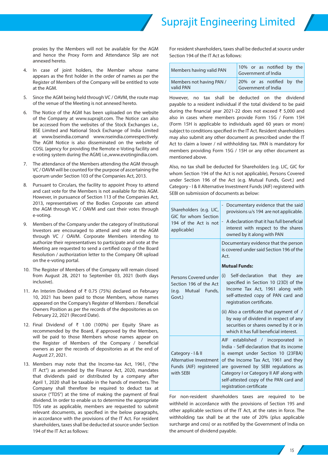proxies by the Members will not be available for the AGM and hence the Proxy Form and Attendance Slip are not annexed hereto.

- 4. In case of joint holders, the Member whose name appears as the first holder in the order of names as per the Register of Members of the Company will be entitled to vote at the AGM.
- 5. Since the AGM being held through VC / OAVM, the route map of the venue of the Meeting is not annexed hereto.
- 6. The Notice of the AGM has been uploaded on the website of the Company at www.suprajit.com. The Notice can also be accessed from the websites of the Stock Exchanges i.e., BSE Limited and National Stock Exchange of India Limited at www.bseindia.comand www.nseindia.comrespectively. The AGM Notice is also disseminated on the website of CDSL (agency for providing the Remote e-Voting facility and e-voting system during the AGM) i.e.,www.evotingindia.com.
- 7. The attendance of the Members attending the AGM through VC / OAVM will be counted for the purpose of ascertaining the quorum under Section 103 of the Companies Act, 2013.
- 8. Pursuant to Circulars, the facility to appoint Proxy to attend and cast vote for the Members is not available for this AGM. However, in pursuance of Section 113 of the Companies Act, 2013, representatives of the Bodies Corporate can attend the AGM through VC / OAVM and cast their votes through e-voting.
- 9. Members of the Company under the category of Institutional Investors are encouraged to attend and vote at the AGM through VC / OAVM. Corporate Members intending to authorize their representatives to participate and vote at the Meeting are requested to send a certified copy of the Board Resolution / authorization letter to the Company OR upload on the e-voting portal.
- 10. The Register of Members of the Company will remain closed from August 28, 2021 to September 03, 2021 (both days inclusive).
- 11. An Interim Dividend of ₹ 0.75 (75%) declared on February 10, 2021 has been paid to those Members, whose names appeared on the Company's Register of Members / Beneficial Owners Position as per the records of the depositories as on February 22, 2021 (Record Date).
- 12. Final Dividend of ₹ 1.00 (100%) per Equity Share as recommended by the Board, if approved by the Members, will be paid to those Members whose names appear on the Register of Members of the Company / beneficial owners as per the records of depositories as at the end of August 27, 2021.
- 13. Members may note that the Income-tax Act, 1961, ("the IT Act") as amended by the Finance Act, 2020, mandates that dividends paid or distributed by a company after April 1, 2020 shall be taxable in the hands of members. The Company shall therefore be required to deduct tax at source ("TDS") at the time of making the payment of final dividend. In order to enable us to determine the appropriate TDS rate as applicable, members are requested to submit relevant documents, as specified in the below paragraphs, in accordance with the provisions of the IT Act. For resident shareholders, taxes shall be deducted at source under Section 194 of the IT Act as follows:

For resident shareholders, taxes shall be deducted at source under Section 194 of the IT Act as follows:

| Members having valid PAN | 10% or as notified by the<br>Government of India |
|--------------------------|--------------------------------------------------|
| Members not having PAN / | 20% or as notified by the                        |
| valid PAN                | Government of India                              |

However, no tax shall be deducted on the dividend payable to a resident individual if the total dividend to be paid during the financial year 2021-22 does not exceed ₹ 5,000 and also in cases where members provide Form 15G / Form 15H (Form 15H is applicable to individuals aged 60 years or more) subject to conditions specified in the IT Act. Resident shareholders may also submit any other document as prescribed under the IT Act to claim a lower / nil withholding tax. PAN is mandatory for members providing Form 15G / 15H or any other document as mentioned above.

Also, no tax shall be deducted for Shareholders (e.g. LIC, GIC for whom Section 194 of the Act is not applicable), Persons Covered under Section 196 of the Act (e.g. Mutual Funds, Govt.) and Category - I & II Alternative Investment Funds (AIF) registered with SEBI on submission of documents as below:

| Shareholders (e.g. LIC,<br>GIC for whom Section<br>194 of the Act is not<br>applicable) | Documentary evidence that the said<br>provisions u/s 194 are not applicable.<br>A declaration that it has full beneficial<br>interest with respect to the shares<br>owned by it along with PAN                                                                                                                               |
|-----------------------------------------------------------------------------------------|------------------------------------------------------------------------------------------------------------------------------------------------------------------------------------------------------------------------------------------------------------------------------------------------------------------------------|
|                                                                                         | Documentary evidence that the person<br>is covered under said Section 196 of the<br>Act.<br><b>Mutual Funds:</b>                                                                                                                                                                                                             |
| Persons Covered under<br>Section 196 of the Act<br>(e.g. Mutual Funds,<br>Govt.)        | Self-declaration that<br>(i)<br>they<br>are<br>specified in Section 10 (23D) of the<br>Income Tax Act, 1961 along with<br>self-attested copy of PAN card and<br>registration certificate.                                                                                                                                    |
|                                                                                         | (ii) Also a certificate that payment of /<br>by way of dividend in respect of any<br>securities or shares owned by it or in<br>which it has full beneficial interest.                                                                                                                                                        |
| Category - I & II<br>Alternative Investment<br>Funds (AIF) registered<br>with SEBI      | established / incorporated<br>AIF.<br>in.<br>India - Self-declaration that its income<br>is exempt under Section 10 (23FBA)<br>of the Income Tax Act, 1961 and they<br>are governed by SEBI regulations as<br>Category I or Category II AIF along with<br>self-attested copy of the PAN card and<br>registration certificate |

For non-resident shareholders taxes are required to be withheld in accordance with the provisions of Section 195 and other applicable sections of the IT Act, at the rates in force. The withholding tax shall be at the rate of 20% (plus applicable surcharge and cess) or as notified by the Government of India on the amount of dividend payable.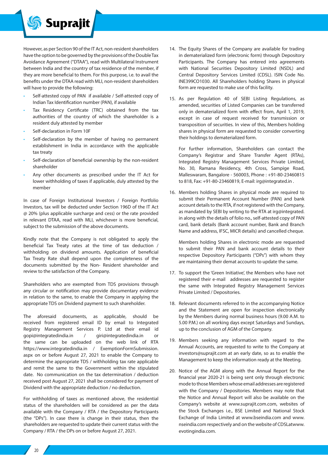

However, as per Section 90 of the IT Act, non-resident shareholders have the option to be governed by the provisions of the Double Tax Avoidance Agreement ("DTAA"), read with Multilateral Instrument between India and the country of tax residence of the member, if they are more beneficial to them. For this purpose, i.e. to avail the benefits under the DTAA read with MLI, non-resident shareholders will have to provide the following:

- Self-attested copy of PAN if available / Self-attested copy of Indian Tax Identification number (PAN), if available
- Tax Residency Certificate (TRC) obtained from the tax authorities of the country of which the shareholder is a resident duly attested by member
- Self-declaration in Form 10F
- Self-declaration by the member of having no permanent establishment in India in accordance with the applicable tax treaty
- Self-declaration of beneficial ownership by the non-resident shareholder
- Any other documents as prescribed under the IT Act for lower withholding of taxes if applicable, duly attested by the member

In case of Foreign Institutional Investors / Foreign Portfolio Investors, tax will be deducted under Section 196D of the IT Act @ 20% (plus applicable surcharge and cess) or the rate provided in relevant DTAA, read with MLI, whichever is more beneficial, subject to the submission of the above documents.

Kindly note that the Company is not obligated to apply the beneficial Tax Treaty rates at the time of tax deduction / withholding on dividend amounts. Application of beneficial Tax Treaty Rate shall depend upon the completeness of the documents submitted by the Non- Resident shareholder and review to the satisfaction of the Company.

Shareholders who are exempted from TDS provisions through any circular or notification may provide documentary evidence in relation to the same, to enable the Company in applying the appropriate TDS on Dividend payment to such shareholder.

The aforesaid documents, as applicable, should be received from registered email ID by email to Integrated Registry Management Services P. Ltd at their email id gopi@integratedindia.in / giri@integratedindia.in or the same can be uploaded on the web link of RTA https://www.integratedindia.in / ExemptionFormSubmission. aspx on or before August 27, 2021 to enable the Company to determine the appropriate TDS / withholding tax rate applicable and remit the same to the Government within the stipulated date. No communication on the tax determination / deduction received post August 27, 2021 shall be considered for payment of Dividend with the appropriate deduction / no deduction.

For withholding of taxes as mentioned above, the residential status of the shareholders will be considered as per the data available with the Company / RTA / the Depository Participants (the "DPs"). In case there is change in their status, then the shareholders are requested to update their current status with the Company / RTA / the DPs on or before August 27, 2021.

- 14. The Equity Shares of the Company are available for trading in dematerialized form (electronic form) through Depository Participants. The Company has entered into agreements with National Securities Depository Limited (NSDL) and Central Depository Services Limited (CDSL). ISIN Code No. INE399CO1030. All Shareholders holding Shares in physical form are requested to make use of this facility.
- 15. As per Regulation 40 of SEBI Listing Regulations, as amended, securities of Listed Companies can be transferred only in dematerialized form with effect from, April 1, 2019, except in case of request received for transmission or transposition of securities. In view of this, Members holding shares in physical form are requested to consider converting their holdings to dematerialized form.

For further information, Shareholders can contact the Company's Registrar and Share Transfer Agent (RTAs), Integrated Registry Management Services Private Limited, No. 30, Ramana Residency, 4th Cross, Sampige Road, Malleswaram, Bangalore - 560003, Phone : +91-80-23460815 to 818, Fax: +91-80-23460819, E-mail: irg@integrated.in .

16. Members holding Shares in physical mode are required to submit their Permanent Account Number (PAN) and bank account details to the RTA, if not registered with the Company, as mandated by SEBI by writing to the RTA at irg@integrated. in along with the details of folio no., self-attested copy of PAN card, bank details (Bank account number, Bank and Branch Name and address, IFSC, MICR details) and cancelled cheque.

Members holding Shares in electronic mode are requested to submit their PAN and bank account details to their respective Depository Participants ("DPs") with whom they are maintaining their demat accounts to update the same.

- 17. To support the 'Green Initiative', the Members who have not registered their e-mail addresses are requested to register the same with Integrated Registry Management Services Private Limited / Depositories.
- 18. Relevant documents referred to in the accompanying Notice and the Statement are open for inspection electronically by the Members during normal business hours (9.00 A.M. to 5.00 P.M.) on all working days except Saturdays and Sundays, up to the conclusion of AGM of the Company.
- 19. Members seeking any information with regard to the Annual Accounts, are requested to write to the Company at investors@suprajit.com at an early date, so as to enable the Management to keep the information ready at the Meeting.
- 20. Notice of the AGM along with the Annual Report for the financial year 2020-21 is being sent only through electronic mode to those Members whose email addresses are registered with the Company / Depositories. Members may note that the Notice and Annual Report will also be available on the Company's website at www.suprajit.com.com, websites of the Stock Exchanges i.e., BSE Limited and National Stock Exchange of India Limited at www.bseindia.com and www. nseindia.com respectively and on the website of CDSLatwww. evotingindia.com.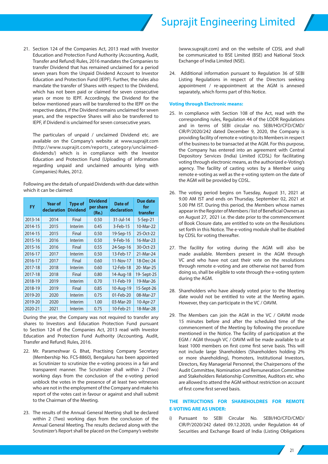

21. Section 124 of the Companies Act, 2013 read with Investor Education and Protection Fund Authority (Accounting, Audit, Transfer and Refund) Rules, 2016 mandates the Companies to transfer Dividend that has remained unclaimed for a period seven years from the Unpaid Dividend Account to Investor Education and Protection Fund (IEPF). Further, the rules also mandate the transfer of Shares with respect to the Dividend, which has not been paid or claimed for seven consecutive years or more to IEPF. Accordingly, the Dividend for the below mentioned years will be transferred to the IEPF on the respective dates, if the Dividend remains unclaimed for seven years, and the respective Shares will also be transferred to IEPF, if Dividend is unclaimed for seven consecutive years.

The particulars of unpaid / unclaimed Dividend etc. are available on the Company's website at www.suprajit.com (http://www.suprajit.com/reports\_category/unclaimeddividends/) which is in compliance with the Investor Education and Protection Fund (Uploading of information regarding unpaid and unclaimed amounts lying with Companies) Rules, 2012.

Following are the details of unpaid Dividends with due date within which it can be claimed:

| <b>FY</b> | <b>Year of</b><br>declaration | <b>Type of</b><br><b>Dividend</b> | <b>Dividend</b><br>per share<br>(Re.) | Date of<br>declaration | Due date<br>for<br>transfer |
|-----------|-------------------------------|-----------------------------------|---------------------------------------|------------------------|-----------------------------|
| 2013-14   | 2014                          | Final                             | 0.50                                  | $31$ -Jul-14           | 5-Sep-21                    |
| 2014-15   | 2015                          | Interim                           | 0.45                                  | 3-Feb-15               | 10-Mar-22                   |
| 2014-15   | 2015                          | Final                             | 0.50                                  | 19-Sep-15              | 25-Oct-22                   |
| 2015-16   | 2016                          | Interim                           | 0.50                                  | $9$ -Feb-16            | 16-Mar-23                   |
| 2015-16   | 2016                          | Final                             | 0.55                                  | 24-Sep-16              | 30-Oct-23                   |
| 2016-17   | 2017                          | Interim                           | 0.50                                  | 13-Feb-17              | 21-Mar-24                   |
| 2016-17   | 2017                          | Final                             | 0.60                                  | 11-Nov-17              | 18-Dec-24                   |
| 2017-18   | 2018                          | Interim                           | 0.60                                  | 12-Feb-18              | 20-Mar-25                   |
| 2017-18   | 2018                          | Final                             | 0.80                                  | 14-Aug-18              | 19-Sept-25                  |
| 2018-19   | 2019                          | Interim                           | 0.70                                  | 11-Feb-19              | 19-Mar-26                   |
| 2018-19   | 2019                          | Final                             | 0.85                                  | 10-Aug-19              | 15-Sept-26                  |
| 2019-20   | 2020                          | Interim                           | 0.75                                  | 01-Feb-20              | 08-Mar-27                   |
| 2019-20   | 2020                          | Interim                           | 1.00                                  | 03-Mar-20              | 10-Apr-27                   |
| 2020-21   | 2021                          | Interim                           | 0.75                                  | 10-Feb-21              | 18-Mar-28                   |

During the year, the Company was not required to transfer any shares to Investors and Education Protection Fund pursuant to Section 124 of the Companies Act, 2013 read with Investor Education and Protection Fund Authority (Accounting, Audit, Transfer and Refund) Rules, 2016.

- 22. Mr. Parameshwar G. Bhat, Practising Company Secretary (Membership No. FCS-8860), Bengaluru has been appointed as Scrutinizer to scrutinize the e-voting process in a fair and transparent manner. The Scrutinizer shall within 2 (Two) working days from the conclusion of the e-voting period unblock the votes in the presence of at least two witnesses who are not in the employment of the Company and make his report of the votes cast in favour or against and shall submit to the Chairman of the Meeting.
- 23. The results of the Annual General Meeting shall be declared within 2 (Two) working days from the conclusion of the Annual General Meeting. The results declared along with the Scrutinizer's Report shall be placed on the Company's website

(www.suprajit.com) and on the website of CDSL and shall be communicated to BSE Limited (BSE) and National Stock Exchange of India Limited (NSE).

24. Additional information pursuant to Regulation 36 of SEBI Listing Regulations in respect of the Directors seeking appointment / re-appointment at the AGM is annexed separately, which forms part of this Notice.

### **Voting through Electronic means:**

- 25. In compliance with Section 108 of the Act, read with the corresponding rules, Regulation 44 of the LODR Regulations and in terms of SEBI circular no. SEBI/HO/CFD/CMD/ CIR/P/2020/242 dated December 9, 2020, the Company is providing facility of remote e-voting to its Members in respect of the business to be transacted at the AGM. For this purpose, the Company has entered into an agreement with Central Depository Services (India) Limited (CDSL) for facilitating voting through electronic means, as the authorized e-Voting's agency. The facility of casting votes by a Member using remote e-voting as well as the e-voting system on the date of the AGM will be provided by CDSL.
- 26. The voting period begins on Tuesday, August 31, 2021 at 9.00 AM IST and ends on Thursday, September 02, 2021 at 5.00 PM IST. During this period, the Members whose names appear in the Register of Members / list of Beneficial Owners as on August 27, 2021 i.e. the date prior to the commencement of Book Closure date, are entitled to vote on the Resolutions set forth in this Notice. The e-voting module shall be disabled by CDSL for voting thereafter.
- 27. The facility for voting during the AGM will also be made available. Members present in the AGM through VC and who have not cast their vote on the resolutions through remote e-voting and are otherwise not barred from doing so, shall be eligible to vote through the e-voting system during the AGM.
- 28. Shareholders who have already voted prior to the Meeting date would not be entitled to vote at the Meeting again. However, they can participate in the VC / OAVM.
- 29. The Members can join the AGM in the VC / OAVM mode 15 minutes before and after the scheduled time of the commencement of the Meeting by following the procedure mentioned in the Notice. The facility of participation at the EGM / AGM through VC / OAVM will be made available to at least 1000 members on first come first serve basis. This will not include large Shareholders (Shareholders holding 2% or more shareholding), Promoters, Institutional Investors, Directors, Key Managerial Personnel, the Chairpersons of the Audit Committee, Nomination and Remuneration Committee and Stakeholders Relationship Committee, Auditors etc. who are allowed to attend the AGM without restriction on account of first come first served basis.

## **THE INTRUCTIONS FOR SHAREHOLDRES FOR REMOTE E-VOTING ARE AS UNDER:**

i) Pursuant to SEBI Circular No. SEBI/HO/CFD/CMD/ CIR/P/2020/242 dated 09.12.2020, under Regulation 44 of Securities and Exchange Board of India (Listing Obligations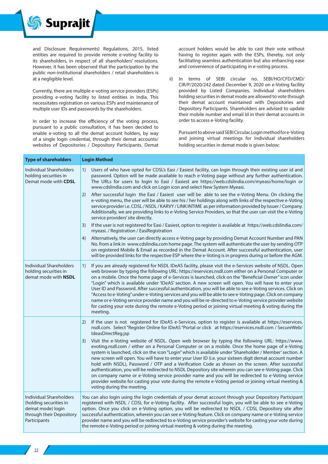

and Disclosure Requirements) Regulations, 2015, listed entities are required to provide remote e-voting facility to its shareholders, in respect of all shareholders' resolutions. However, it has been observed that the participation by the public non-institutional shareholders / retail shareholders is at a negligible level.

Currently, there are multiple e-voting service providers (ESPs) providing e-voting facility to listed entities in India. This necessitates registration on various ESPs and maintenance of multiple user IDs and passwords by the shareholders.

In order to increase the efficiency of the voting process, pursuant to a public consultation, it has been decided to enable e-voting to all the demat account holders, by way of a single login credential, through their demat accounts/ websites of Depositories / Depository Participants. Demat

account holders would be able to cast their vote without having to register again with the ESPs, thereby, not only facilitating seamless authentication but also enhancing ease and convenience of participating in e-voting process.

ii) In terms of SEBI circular no. SEBI/HO/CFD/CMD/ CIR/P/2020/242 dated December 9, 2020 on e-Voting facility provided by Listed Companies, Individual shareholders holding securities in demat mode are allowed to vote through their demat account maintained with Depositories and Depository Participants. Shareholders are advised to update their mobile number and email Id in their demat accounts in order to access e-Voting facility.

Pursuant to above said SEBI Circular, Login method for e-Voting and joining virtual meetings for Individual shareholders holding securities in demat mode is given below:

| <b>Type of shareholders</b>                                                                                        | <b>Login Method</b>                                                                                                                                                                                                                                                                                                                                                                                                                                                                                                                                                                                                                                                                                                                                                                                                                                                                                                                                                                                                                                                                                                                                                                                                                                                                                                                                                                                                                                                                                              |
|--------------------------------------------------------------------------------------------------------------------|------------------------------------------------------------------------------------------------------------------------------------------------------------------------------------------------------------------------------------------------------------------------------------------------------------------------------------------------------------------------------------------------------------------------------------------------------------------------------------------------------------------------------------------------------------------------------------------------------------------------------------------------------------------------------------------------------------------------------------------------------------------------------------------------------------------------------------------------------------------------------------------------------------------------------------------------------------------------------------------------------------------------------------------------------------------------------------------------------------------------------------------------------------------------------------------------------------------------------------------------------------------------------------------------------------------------------------------------------------------------------------------------------------------------------------------------------------------------------------------------------------------|
| Individual Shareholders<br>holding securities in<br>Demat mode with CDSL                                           | Users of who have opted for CDSL's Easi / Easiest facility, can login through their existing user id and<br>1)<br>password. Option will be made available to reach e-Voting page without any further authentication.<br>The URLs for users to login to Easi / Easiest are https://web.cdslindia.com/myeasi/home/login or<br>www.cdslindia.com and click on Login icon and select New System Myeasi.<br>After successful login the Easi / Easiest user will be able to see the e-Voting Menu. On clicking the<br>2)<br>e-voting menu, the user will be able to see his / her holdings along with links of the respective e-Voting<br>service provider i.e. CDSL / NSDL / KARVY / LINK INTIME as per information provided by Issuer / Company.<br>Additionally, we are providing links to e-Voting Service Providers, so that the user can visit the e-Voting<br>service providers' site directly.<br>If the user is not registered for Easi / Easiest, option to register is available at https://web.cdslindia.com/<br>3)<br>myeasi. / Registration / EasiRegistration<br>Alternatively, the user can directly access e-Voting page by providing Demat Account Number and PAN<br>4)<br>No. from a link in www.cdslindia.com home page. The system will authenticate the user by sending OTP<br>on registered Mobile & Email as recorded in the Demat Account. After successful authentication, user<br>will be provided links for the respective ESP where the e-Voting is in progress during or before the AGM. |
| <b>Individual Shareholders</b><br>holding securities in<br>demat mode with NSDL                                    | If you are already registered for NSDL IDeAS facility, please visit the e-Services website of NSDL. Open<br>1)<br>web browser by typing the following URL: https://eservices.nsdl.com either on a Personal Computer or<br>on a mobile. Once the home page of e-Services is launched, click on the "Beneficial Owner" icon under<br>"Login" which is available under 'IDeAS' section. A new screen will open. You will have to enter your<br>User ID and Password. After successful authentication, you will be able to see e-Voting services. Click on<br>"Access to e-Voting" under e-Voting services and you will be able to see e-Voting page. Click on company<br>name or e-Voting service provider name and you will be re-directed to e-Voting service provider website<br>for casting your vote during the remote e-Voting period or joining virtual meeting & voting during the<br>meeting.                                                                                                                                                                                                                                                                                                                                                                                                                                                                                                                                                                                                              |
|                                                                                                                    | If the user is not registered for IDeAS e-Services, option to register is available at https://eservices.<br>2)<br>nsdl.com. Select "Register Online for IDeAS "Portal or click at https://eservices.nsdl.com / SecureWeb/<br>IdeasDirectReg.jsp<br>Visit the e-Voting website of NSDL. Open web browser by typing the following URL: https://www.<br>3)<br>evoting.nsdl.com / either on a Personal Computer or on a mobile. Once the home page of e-Voting<br>system is launched, click on the icon "Login" which is available under 'Shareholder / Member' section. A<br>new screen will open. You will have to enter your User ID (i.e. your sixteen digit demat account number<br>hold with NSDL), Password / OTP and a Verification Code as shown on the screen. After successful<br>authentication, you will be redirected to NSDL Depository site wherein you can see e-Voting page. Click<br>on company name or e-Voting service provider name and you will be redirected to e-Voting service<br>provider website for casting your vote during the remote e-Voting period or joining virtual meeting &<br>voting during the meeting.                                                                                                                                                                                                                                                                                                                                                                     |
| Individual Shareholders<br>(holding securities in<br>demat mode) login<br>through their Depository<br>Participants | You can also login using the login credentials of your demat account through your Depository Participant<br>registered with NSDL / CDSL for e-Voting facility. After successful login, you will be able to see e-Voting<br>option. Once you click on e-Voting option, you will be redirected to NSDL / CDSL Depository site after<br>successful authentication, wherein you can see e-Voting feature. Click on company name or e-Voting service<br>provider name and you will be redirected to e-Voting service provider's website for casting your vote during<br>the remote e-Voting period or joining virtual meeting & voting during the meeting.                                                                                                                                                                                                                                                                                                                                                                                                                                                                                                                                                                                                                                                                                                                                                                                                                                                            |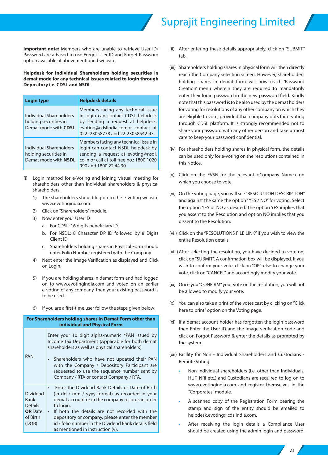# **Suprajit Engineering Limited**

**Important note:** Members who are unable to retrieve User ID/ Password are advised to use Forget User ID and Forget Password option available at abovementioned website.

**Helpdesk for Individual Shareholders holding securities in demat mode for any technical issues related to login through Depository i.e. CDSL and NSDL** 

| <b>Login type</b>                                                               | <b>Helpdesk details</b>                                                                                                                                                                 |
|---------------------------------------------------------------------------------|-----------------------------------------------------------------------------------------------------------------------------------------------------------------------------------------|
| Individual Shareholders<br>holding securities in<br>Demat mode with CDSL        | Members facing any technical issue<br>in login can contact CDSL helpdesk<br>by sending a request at helpdesk.<br>evoting@cdslindia.comor contact at<br>022-23058738 and 22-23058542-43. |
| Individual Shareholders<br>holding securities in<br>Demat mode with <b>NSDL</b> | Members facing any technical issue in<br>login can contact NSDL helpdesk by<br>sending a request at evoting@nsdl.<br>co.in or call at toll free no.: 1800 1020<br>990 and 1800 22 44 30 |

- (i) Login method for e-Voting and joining virtual meeting for shareholders other than individual shareholders & physical shareholders.
	- 1) The shareholders should log on to the e-voting website www.evotingindia.com.
	- 2) Click on "Shareholders" module.
	- 3) Now enter your User ID
		- a. For CDSL: 16 digits beneficiary ID,
		- b. For NSDL: 8 Character DP ID followed by 8 Digits Client ID,
		- c. Shareholders holding shares in Physical Form should enter Folio Number registered with the Company.
	- 4) Next enter the Image Verification as displayed and Click on Login.
	- 5) If you are holding shares in demat form and had logged on to www.evotingindia.com and voted on an earlier e-voting of any company, then your existing password is to be used.
	- 6) If you are a first-time user follow the steps given below:

| For Shareholders holding shares in Demat Form other than<br>individual and Physical Form |                                                                                                                                                                                                                                                                                                                                                                                 |  |
|------------------------------------------------------------------------------------------|---------------------------------------------------------------------------------------------------------------------------------------------------------------------------------------------------------------------------------------------------------------------------------------------------------------------------------------------------------------------------------|--|
| <b>PAN</b>                                                                               | Enter your 10 digit alpha-numeric *PAN issued by<br>Income Tax Department (Applicable for both demat<br>shareholders as well as physical shareholders)<br>Shareholders who have not updated their PAN<br>$\bullet$<br>with the Company / Depository Participant are<br>requested to use the sequence number sent by<br>Company / RTA or contact Company / RTA.                  |  |
| <b>Dividend</b><br>Bank<br><b>Details</b><br><b>OR</b> Date<br>of Birth<br>(DOB)         | Enter the Dividend Bank Details or Date of Birth<br>(in dd / mm / yyyy format) as recorded in your<br>demat account or in the company records in order<br>to login.<br>If both the details are not recorded with the<br>$\bullet$<br>depository or company, please enter the member<br>id / folio number in the Dividend Bank details field<br>as mentioned in instruction (v). |  |

- (ii) After entering these details appropriately, click on "SUBMIT" tab.
- (iii) Shareholders holding shares in physical form will then directly reach the Company selection screen. However, shareholders holding shares in demat form will now reach 'Password Creation' menu wherein they are required to mandatorily enter their login password in the new password field. Kindly note that this password is to be also used by the demat holders for voting for resolutions of any other company on which they are eligible to vote, provided that company opts for e-voting through CDSL platform. It is strongly recommended not to share your password with any other person and take utmost care to keep your password confidential.
- (iv) For shareholders holding shares in physical form, the details can be used only for e-voting on the resolutions contained in this Notice.
- (v) Click on the EVSN for the relevant <Company Name> on which you choose to vote.
- (vi) On the voting page, you will see "RESOLUTION DESCRIPTION" and against the same the option "YES / NO" for voting. Select the option YES or NO as desired. The option YES implies that you assent to the Resolution and option NO implies that you dissent to the Resolution.
- (vii) Click on the "RESOLUTIONS FILE LINK" if you wish to view the entire Resolution details.
- (viii) After selecting the resolution, you have decided to vote on, click on "SUBMIT". A confirmation box will be displayed. If you wish to confirm your vote, click on "OK", else to change your vote, click on "CANCEL" and accordingly modify your vote.
- (ix) Once you "CONFIRM" your vote on the resolution, you will not be allowed to modify your vote.
- (x) You can also take a print of the votes cast by clicking on "Click here to print" option on the Voting page.
- (xi) If a demat account holder has forgotten the login password then Enter the User ID and the image verification code and click on Forgot Password & enter the details as prompted by the system.
- (xii) Facility for Non Individual Shareholders and Custodians Remote Voting
	- Non-Individual shareholders (i.e. other than Individuals, HUF, NRI etc.) and Custodians are required to log on to www.evotingindia.com and register themselves in the "Corporates" module.
	- A scanned copy of the Registration Form bearing the stamp and sign of the entity should be emailed to helpdesk.evoting@cdslindia.com.
	- After receiving the login details a Compliance User should be created using the admin login and password.

23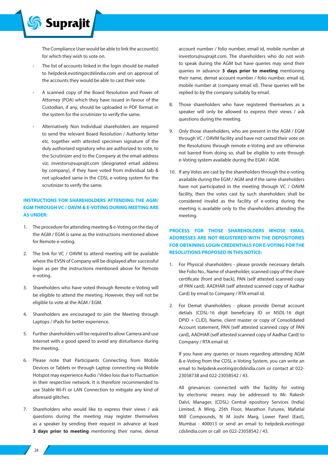The Compliance User would be able to link the account(s) for which they wish to vote on.

The list of accounts linked in the login should be mailed to helpdesk.evoting@cdslindia.com and on approval of the accounts they would be able to cast their vote.

**Suprajit** 

- A scanned copy of the Board Resolution and Power of Attorney (POA) which they have issued in favour of the Custodian, if any, should be uploaded in PDF format in the system for the scrutinizer to verify the same.
- Alternatively Non Individual shareholders are required to send the relevant Board Resolution / Authority letter etc. together with attested specimen signature of the duly authorized signatory who are authorized to vote, to the Scrutinizer and to the Company at the email address viz; investors@suprajit.com (designated email address by company), if they have voted from individual tab & not uploaded same in the CDSL e-voting system for the scrutinizer to verify the same.

## **INSTRUCTIONS FOR SHAREHOLDERS ATTENDING THE AGM/ EGM THROUGH VC / OAVM & E-VOTING DURING MEETING ARE AS UNDER:**

- 1. The procedure for attending meeting & e-Voting on the day of the AGM / EGM is same as the instructions mentioned above for Remote e-voting.
- 2. The link for VC / OAVM to attend meeting will be available where the EVSN of Company will be displayed after successful login as per the instructions mentioned above for Remote e-voting.
- 3. Shareholders who have voted through Remote e-Voting will be eligible to attend the meeting. However, they will not be eligible to vote at the AGM / EGM.
- 4. Shareholders are encouraged to join the Meeting through Laptops / iPads for better experience.
- 5. Further shareholders will be required to allow Camera and use Internet with a good speed to avoid any disturbance during the meeting.
- 6. Please note that Participants Connecting from Mobile Devices or Tablets or through Laptop connecting via Mobile Hotspot may experience Audio / Video loss due to Fluctuation in their respective network. It is therefore recommended to use Stable Wi-Fi or LAN Connection to mitigate any kind of aforesaid glitches.
- 7. Shareholders who would like to express their views / ask questions during the meeting may register themselves as a speaker by sending their request in advance at least **3 days prior to meeting** mentioning their name, demat

account number / folio number, email id, mobile number at investors@suprajit.com. The shareholders who do not wish to speak during the AGM but have queries may send their queries in advance **3 days prior to meeting** mentioning their name, demat account number / folio number, email id, mobile number at (company email id). These queries will be replied to by the company suitably by email.

- 8. Those shareholders who have registered themselves as a speaker will only be allowed to express their views / ask questions during the meeting.
- 9. Only those shareholders, who are present in the AGM / EGM through VC / OAVM facility and have not casted their vote on the Resolutions through remote e-Voting and are otherwise not barred from doing so, shall be eligible to vote through e-Voting system available during the EGM / AGM.
- 10. If any Votes are cast by the shareholders through the e-voting available during the EGM / AGM and if the same shareholders have not participated in the meeting through VC / OAVM facility, then the votes cast by such shareholders shall be considered invalid as the facility of e-voting during the meeting is available only to the shareholders attending the meeting.

## **PROCESS FOR THOSE SHAREHOLDERS WHOSE EMAIL ADDRESSES ARE NOT REGISTERED WITH THE DEPOSITORIES FOR OBTAINING LOGIN CREDENTIALS FOR E-VOTING FOR THE RESOLUTIONS PROPOSED IN THIS NOTICE:**

- 1. For Physical shareholders please provide necessary details like Folio No., Name of shareholder, scanned copy of the share certificate (front and back), PAN (self attested scanned copy of PAN card), AADHAR (self attested scanned copy of Aadhar Card) by email to Company / RTA email id.
- 2. For Demat shareholders please provide Demat account detials (CDSL-16 digit beneficiary ID or NSDL-16 digit DPID + CLID), Name, client master or copy of Consolidated Account statement, PAN (self attested scanned copy of PAN card), AADHAR (self attested scanned copy of Aadhar Card) to Company / RTA email id.

If you have any queries or issues regarding attending AGM & e-Voting from the CDSL e-Voting System, you can write an email to helpdesk.evoting@cdslindia.com or contact at 022- 23058738 and 022-23058542 / 43.

All grievances connected with the facility for voting by electronic means may be addressed to Mr. Rakesh Dalvi, Manager, (CDSL) Central epository Services (India) Limited, A Wing, 25th Floor, Marathon Futurex, Mafatlal Mill Compounds, N M Joshi Marg, Lower Parel (East), Mumbai - 400013 or send an email to helpdesk.evoting@ cdslindia.com or call on 022-23058542 / 43.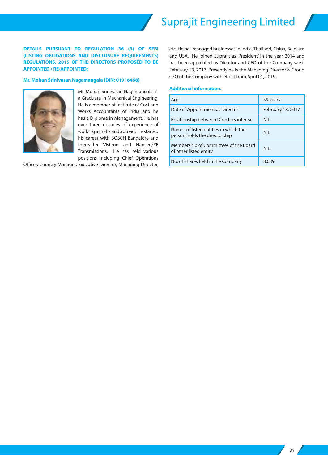**DETAILS PURSUANT TO REGULATION 36 (3) OF SEBI (LISTING OBLIGATIONS AND DISCLOSURE REQUIREMENTS) REGULATIONS, 2015 OF THE DIRECTORS PROPOSED TO BE APPOINTED / RE-APPOINTED:**

#### **Mr. Mohan Srinivasan Nagamangala (DIN: 01916468)**



Mr. Mohan Srinivasan Nagamangala is a Graduate in Mechanical Engineering. He is a member of Institute of Cost and Works Accountants of India and he has a Diploma in Management. He has over three decades of experience of working in India and abroad. He started his career with BOSCH Bangalore and thereafter Visteon and Hansen/ZF Transmissions. He has held various positions including Chief Operations

Officer, Country Manager, Executive Director, Managing Director,

etc. He has managed businesses in India, Thailand, China, Belgium and USA. He joined Suprajit as 'President' in the year 2014 and has been appointed as Director and CEO of the Company w.e.f. February 13, 2017. Presently he is the Managing Director & Group CEO of the Company with effect from April 01, 2019.

## **Additional information:**

| Age                                                                    | 59 years          |
|------------------------------------------------------------------------|-------------------|
| Date of Appointment as Director                                        | February 13, 2017 |
| Relationship between Directors inter-se                                | NII.              |
| Names of listed entities in which the<br>person holds the directorship | NII.              |
| Membership of Committees of the Board<br>of other listed entity        | NII.              |
| No. of Shares held in the Company                                      | 8,689             |